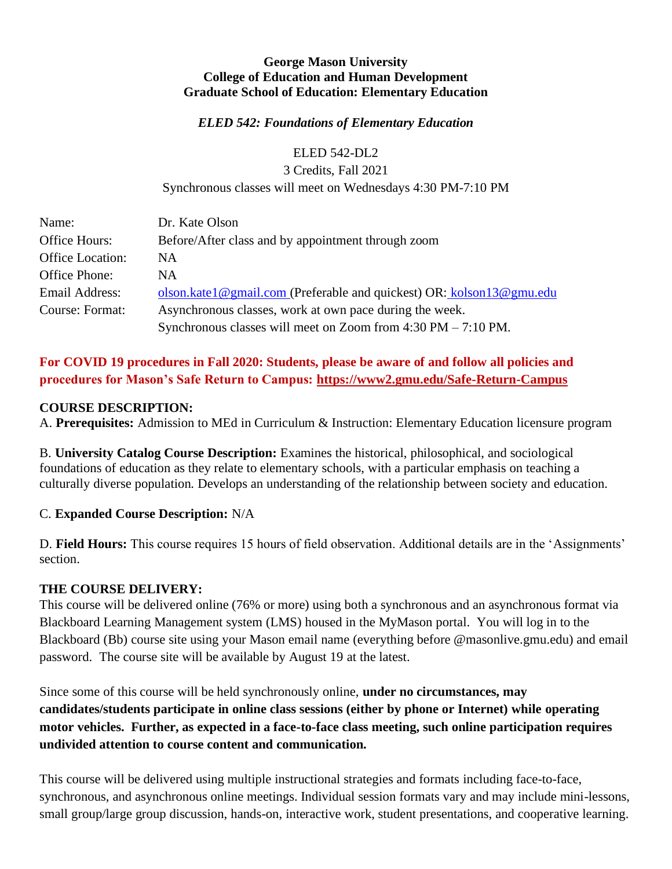### **George Mason University College of Education and Human Development Graduate School of Education: Elementary Education**

#### *ELED 542: Foundations of Elementary Education*

ELED 542-DL2

3 Credits, Fall 2021 Synchronous classes will meet on Wednesdays 4:30 PM-7:10 PM

| Name:                   | Dr. Kate Olson                                                                   |
|-------------------------|----------------------------------------------------------------------------------|
| Office Hours:           | Before/After class and by appointment through zoom                               |
| <b>Office Location:</b> | <b>NA</b>                                                                        |
| Office Phone:           | <b>NA</b>                                                                        |
| Email Address:          | olson.katel@gmail.com (Preferable and quickest) OR: kolson13@gmu.edu             |
| Course: Format:         | Asynchronous classes, work at own pace during the week.                          |
|                         | Synchronous classes will meet on Zoom from $4:30 \text{ PM} - 7:10 \text{ PM}$ . |

# **For COVID 19 procedures in Fall 2020: Students, please be aware of and follow all policies and procedures for Mason's Safe Return to Campus:<https://www2.gmu.edu/Safe-Return-Campus>**

## **COURSE DESCRIPTION:**

A. **Prerequisites:** Admission to MEd in Curriculum & Instruction: Elementary Education licensure program

B. **University Catalog Course Description:** Examines the historical, philosophical, and sociological foundations of education as they relate to elementary schools, with a particular emphasis on teaching a culturally diverse population. Develops an understanding of the relationship between society and education.

## C. **Expanded Course Description:** N/A

D. **Field Hours:** This course requires 15 hours of field observation. Additional details are in the 'Assignments' section.

## **THE COURSE DELIVERY:**

This course will be delivered online (76% or more) using both a synchronous and an asynchronous format via Blackboard Learning Management system (LMS) housed in the MyMason portal. You will log in to the Blackboard (Bb) course site using your Mason email name (everything before @masonlive.gmu.edu) and email password. The course site will be available by August 19 at the latest.

Since some of this course will be held synchronously online, **under no circumstances, may candidates/students participate in online class sessions (either by phone or Internet) while operating motor vehicles. Further, as expected in a face-to-face class meeting, such online participation requires undivided attention to course content and communication.**

This course will be delivered using multiple instructional strategies and formats including face-to-face, synchronous, and asynchronous online meetings. Individual session formats vary and may include mini-lessons, small group/large group discussion, hands-on, interactive work, student presentations, and cooperative learning.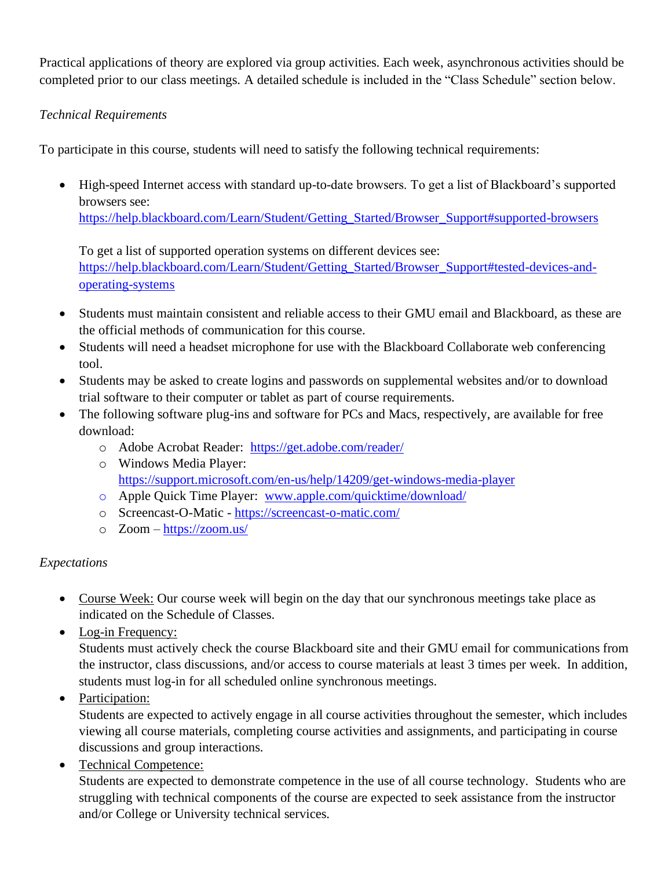Practical applications of theory are explored via group activities. Each week, asynchronous activities should be completed prior to our class meetings. A detailed schedule is included in the "Class Schedule" section below.

# *Technical Requirements*

To participate in this course, students will need to satisfy the following technical requirements:

• High-speed Internet access with standard up-to-date browsers. To get a list of Blackboard's supported browsers see:

[https://help.blackboard.com/Learn/Student/Getting\\_Started/Browser\\_Support#supported-browsers](https://help.blackboard.com/Learn/Student/Getting_Started/Browser_Support#supported-browsers)

To get a list of supported operation systems on different devices see: [https://help.blackboard.com/Learn/Student/Getting\\_Started/Browser\\_Support#tested-devices-and](https://help.blackboard.com/Learn/Student/Getting_Started/Browser_Support#tested-devices-and-operating-systems)[operating-systems](https://help.blackboard.com/Learn/Student/Getting_Started/Browser_Support#tested-devices-and-operating-systems)

- Students must maintain consistent and reliable access to their GMU email and Blackboard, as these are the official methods of communication for this course.
- Students will need a headset microphone for use with the Blackboard Collaborate web conferencing tool.
- Students may be asked to create logins and passwords on supplemental websites and/or to download trial software to their computer or tablet as part of course requirements.
- The following software plug-ins and software for PCs and Macs, respectively, are available for free download:
	- o Adobe Acrobat Reader: <https://get.adobe.com/reader/>
	- o Windows Media Player: <https://support.microsoft.com/en-us/help/14209/get-windows-media-player>
	- o Apple Quick Time Player: [www.apple.com/quicktime/download/](http://www.apple.com/quicktime/download/)
	- o Screencast-O-Matic <https://screencast-o-matic.com/>
	- o Zoom <https://zoom.us/>

# *Expectations*

- Course Week: Our course week will begin on the day that our synchronous meetings take place as indicated on the Schedule of Classes.
- Log-in Frequency:

Students must actively check the course Blackboard site and their GMU email for communications from the instructor, class discussions, and/or access to course materials at least 3 times per week. In addition, students must log-in for all scheduled online synchronous meetings.

• Participation:

Students are expected to actively engage in all course activities throughout the semester, which includes viewing all course materials, completing course activities and assignments, and participating in course discussions and group interactions.

• Technical Competence:

Students are expected to demonstrate competence in the use of all course technology. Students who are struggling with technical components of the course are expected to seek assistance from the instructor and/or College or University technical services.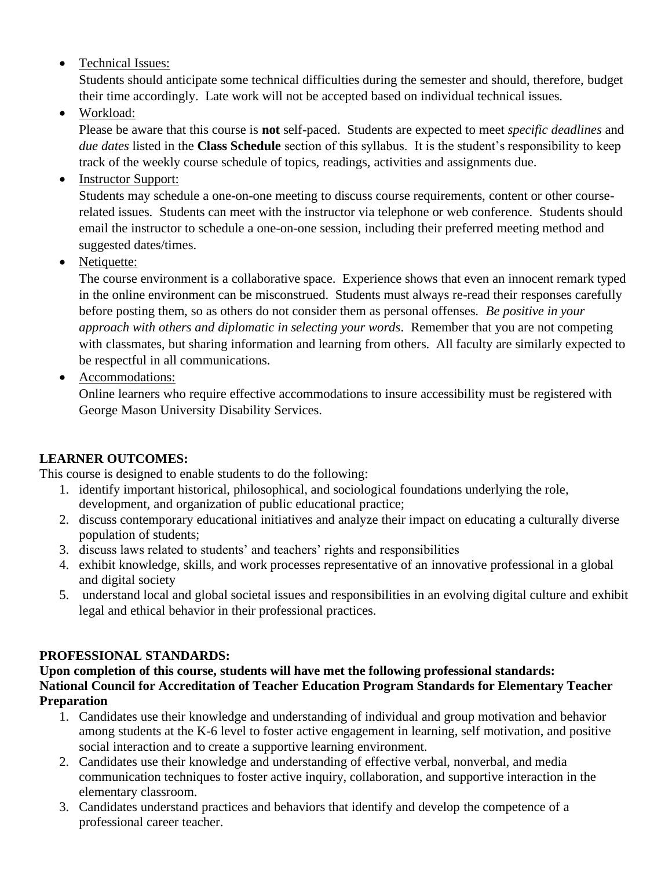• Technical Issues:

Students should anticipate some technical difficulties during the semester and should, therefore, budget their time accordingly. Late work will not be accepted based on individual technical issues.

• Workload:

Please be aware that this course is **not** self-paced. Students are expected to meet *specific deadlines* and *due dates* listed in the **Class Schedule** section of this syllabus. It is the student's responsibility to keep track of the weekly course schedule of topics, readings, activities and assignments due.

• Instructor Support:

Students may schedule a one-on-one meeting to discuss course requirements, content or other courserelated issues. Students can meet with the instructor via telephone or web conference. Students should email the instructor to schedule a one-on-one session, including their preferred meeting method and suggested dates/times.

• Netiquette:

The course environment is a collaborative space. Experience shows that even an innocent remark typed in the online environment can be misconstrued. Students must always re-read their responses carefully before posting them, so as others do not consider them as personal offenses. *Be positive in your approach with others and diplomatic in selecting your words*. Remember that you are not competing with classmates, but sharing information and learning from others. All faculty are similarly expected to be respectful in all communications.

• Accommodations:

Online learners who require effective accommodations to insure accessibility must be registered with George Mason University Disability Services.

# **LEARNER OUTCOMES:**

This course is designed to enable students to do the following:

- 1. identify important historical, philosophical, and sociological foundations underlying the role, development, and organization of public educational practice;
- 2. discuss contemporary educational initiatives and analyze their impact on educating a culturally diverse population of students;
- 3. discuss laws related to students' and teachers' rights and responsibilities
- 4. exhibit knowledge, skills, and work processes representative of an innovative professional in a global and digital society
- 5. understand local and global societal issues and responsibilities in an evolving digital culture and exhibit legal and ethical behavior in their professional practices.

# **PROFESSIONAL STANDARDS:**

**Upon completion of this course, students will have met the following professional standards: National Council for Accreditation of Teacher Education Program Standards for Elementary Teacher Preparation** 

- 1. Candidates use their knowledge and understanding of individual and group motivation and behavior among students at the K-6 level to foster active engagement in learning, self motivation, and positive social interaction and to create a supportive learning environment.
- 2. Candidates use their knowledge and understanding of effective verbal, nonverbal, and media communication techniques to foster active inquiry, collaboration, and supportive interaction in the elementary classroom.
- 3. Candidates understand practices and behaviors that identify and develop the competence of a professional career teacher.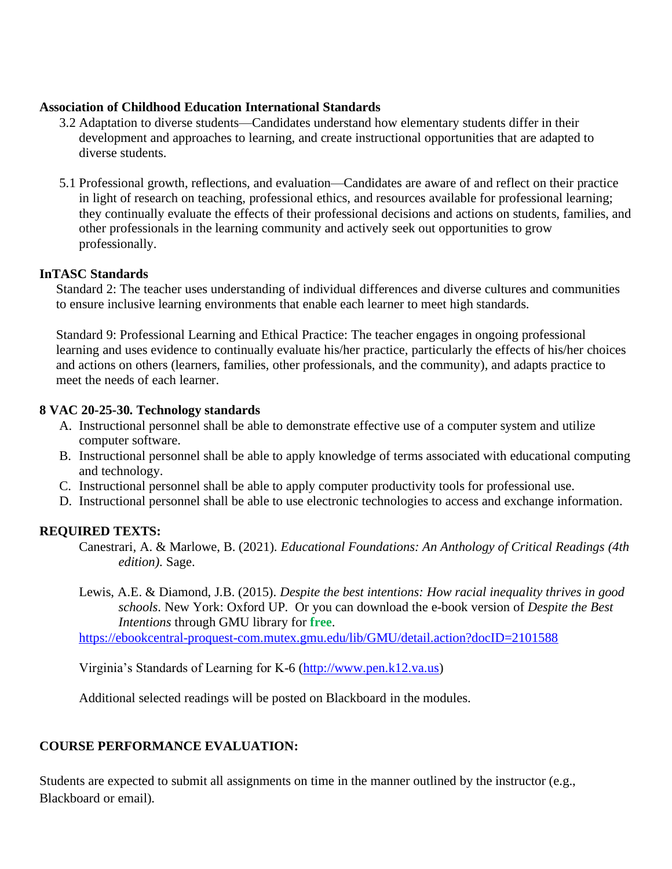### **Association of Childhood Education International Standards**

- 3.2 Adaptation to diverse students—Candidates understand how elementary students differ in their development and approaches to learning, and create instructional opportunities that are adapted to diverse students.
- 5.1 Professional growth, reflections, and evaluation—Candidates are aware of and reflect on their practice in light of research on teaching, professional ethics, and resources available for professional learning; they continually evaluate the effects of their professional decisions and actions on students, families, and other professionals in the learning community and actively seek out opportunities to grow professionally.

## **InTASC Standards**

Standard 2: The teacher uses understanding of individual differences and diverse cultures and communities to ensure inclusive learning environments that enable each learner to meet high standards.

Standard 9: Professional Learning and Ethical Practice: The teacher engages in ongoing professional learning and uses evidence to continually evaluate his/her practice, particularly the effects of his/her choices and actions on others (learners, families, other professionals, and the community), and adapts practice to meet the needs of each learner.

## **8 VAC 20-25-30. Technology standards**

- A. Instructional personnel shall be able to demonstrate effective use of a computer system and utilize computer software.
- B. Instructional personnel shall be able to apply knowledge of terms associated with educational computing and technology.
- C. Instructional personnel shall be able to apply computer productivity tools for professional use.
- D. Instructional personnel shall be able to use electronic technologies to access and exchange information.

## **REQUIRED TEXTS:**

- Canestrari, A. & Marlowe, B. (2021). *Educational Foundations: An Anthology of Critical Readings (4th edition).* Sage.
- Lewis, A.E. & Diamond, J.B. (2015). *Despite the best intentions: How racial inequality thrives in good schools*. New York: Oxford UP. Or you can download the e-book version of *Despite the Best Intentions* through GMU library for **free**.

<https://ebookcentral-proquest-com.mutex.gmu.edu/lib/GMU/detail.action?docID=2101588>

Virginia's Standards of Learning for K-6 [\(http://www.pen.k12.va.us\)](http://www.pen.k12.va.us/)

Additional selected readings will be posted on Blackboard in the modules.

# **COURSE PERFORMANCE EVALUATION:**

Students are expected to submit all assignments on time in the manner outlined by the instructor (e.g., Blackboard or email).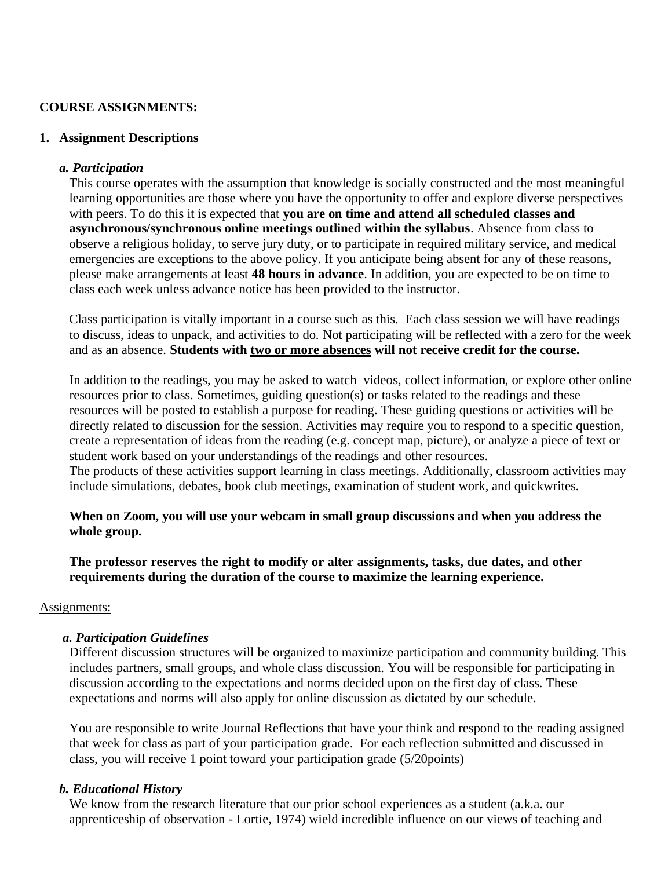#### **COURSE ASSIGNMENTS:**

#### **1. Assignment Descriptions**

#### *a. Participation*

This course operates with the assumption that knowledge is socially constructed and the most meaningful learning opportunities are those where you have the opportunity to offer and explore diverse perspectives with peers. To do this it is expected that **you are on time and attend all scheduled classes and asynchronous/synchronous online meetings outlined within the syllabus**. Absence from class to observe a religious holiday, to serve jury duty, or to participate in required military service, and medical emergencies are exceptions to the above policy. If you anticipate being absent for any of these reasons, please make arrangements at least **48 hours in advance**. In addition, you are expected to be on time to class each week unless advance notice has been provided to the instructor.

Class participation is vitally important in a course such as this. Each class session we will have readings to discuss, ideas to unpack, and activities to do. Not participating will be reflected with a zero for the week and as an absence. **Students with two or more absences will not receive credit for the course.** 

In addition to the readings, you may be asked to watch videos, collect information, or explore other online resources prior to class. Sometimes, guiding question(s) or tasks related to the readings and these resources will be posted to establish a purpose for reading. These guiding questions or activities will be directly related to discussion for the session. Activities may require you to respond to a specific question, create a representation of ideas from the reading (e.g. concept map, picture), or analyze a piece of text or student work based on your understandings of the readings and other resources.

The products of these activities support learning in class meetings. Additionally, classroom activities may include simulations, debates, book club meetings, examination of student work, and quickwrites.

## **When on Zoom, you will use your webcam in small group discussions and when you address the whole group.**

**The professor reserves the right to modify or alter assignments, tasks, due dates, and other requirements during the duration of the course to maximize the learning experience.**

#### Assignments:

#### *a. Participation Guidelines*

Different discussion structures will be organized to maximize participation and community building. This includes partners, small groups, and whole class discussion. You will be responsible for participating in discussion according to the expectations and norms decided upon on the first day of class. These expectations and norms will also apply for online discussion as dictated by our schedule.

You are responsible to write Journal Reflections that have your think and respond to the reading assigned that week for class as part of your participation grade. For each reflection submitted and discussed in class, you will receive 1 point toward your participation grade (5/20points)

#### *b. Educational History*

We know from the research literature that our prior school experiences as a student (a.k.a. our apprenticeship of observation - Lortie, 1974) wield incredible influence on our views of teaching and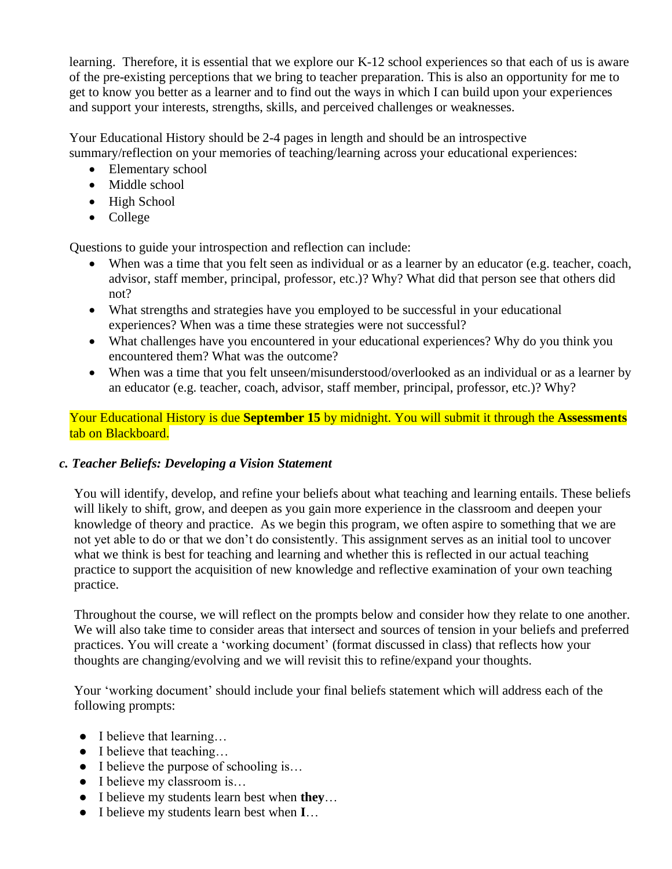learning. Therefore, it is essential that we explore our K-12 school experiences so that each of us is aware of the pre-existing perceptions that we bring to teacher preparation. This is also an opportunity for me to get to know you better as a learner and to find out the ways in which I can build upon your experiences and support your interests, strengths, skills, and perceived challenges or weaknesses.

Your Educational History should be 2-4 pages in length and should be an introspective summary/reflection on your memories of teaching/learning across your educational experiences:

- Elementary school
- Middle school
- High School
- College

Questions to guide your introspection and reflection can include:

- When was a time that you felt seen as individual or as a learner by an educator (e.g. teacher, coach, advisor, staff member, principal, professor, etc.)? Why? What did that person see that others did not?
- What strengths and strategies have you employed to be successful in your educational experiences? When was a time these strategies were not successful?
- What challenges have you encountered in your educational experiences? Why do you think you encountered them? What was the outcome?
- When was a time that you felt unseen/misunderstood/overlooked as an individual or as a learner by an educator (e.g. teacher, coach, advisor, staff member, principal, professor, etc.)? Why?

Your Educational History is due **September 15** by midnight. You will submit it through the **Assessments** tab on Blackboard.

## *c. Teacher Beliefs: Developing a Vision Statement*

You will identify, develop, and refine your beliefs about what teaching and learning entails. These beliefs will likely to shift, grow, and deepen as you gain more experience in the classroom and deepen your knowledge of theory and practice. As we begin this program, we often aspire to something that we are not yet able to do or that we don't do consistently. This assignment serves as an initial tool to uncover what we think is best for teaching and learning and whether this is reflected in our actual teaching practice to support the acquisition of new knowledge and reflective examination of your own teaching practice.

Throughout the course, we will reflect on the prompts below and consider how they relate to one another. We will also take time to consider areas that intersect and sources of tension in your beliefs and preferred practices. You will create a 'working document' (format discussed in class) that reflects how your thoughts are changing/evolving and we will revisit this to refine/expand your thoughts.

Your 'working document' should include your final beliefs statement which will address each of the following prompts:

- I believe that learning...
- I believe that teaching...
- I believe the purpose of schooling is...
- I believe my classroom is...
- I believe my students learn best when **they**…
- I believe my students learn best when **I**…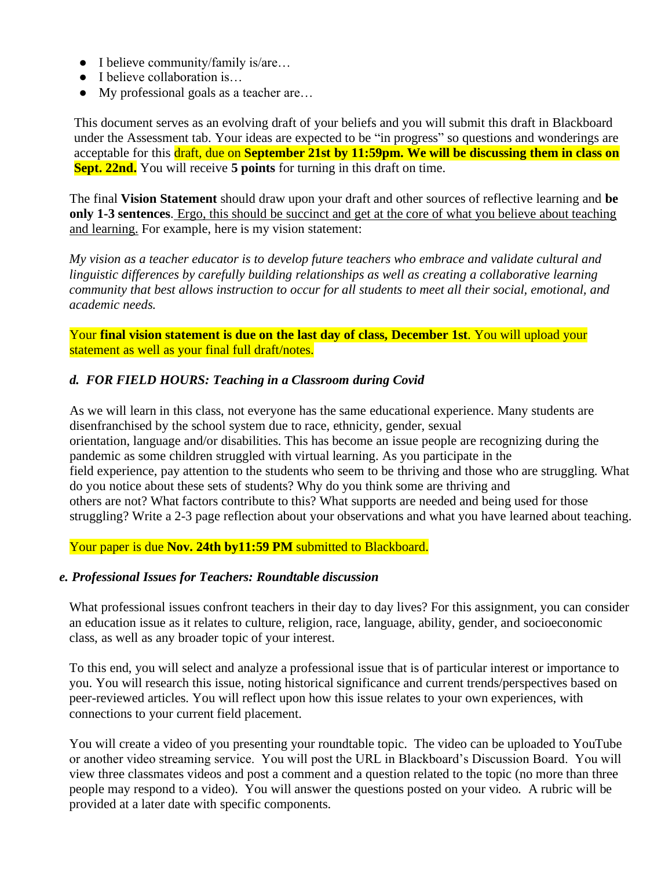- I believe community/family is/are…
- I believe collaboration is...
- My professional goals as a teacher are...

This document serves as an evolving draft of your beliefs and you will submit this draft in Blackboard under the Assessment tab. Your ideas are expected to be "in progress" so questions and wonderings are acceptable for this draft, due on **September 21st by 11:59pm. We will be discussing them in class on Sept. 22nd.** You will receive **5 points** for turning in this draft on time.

The final **Vision Statement** should draw upon your draft and other sources of reflective learning and **be only 1-3 sentences**. Ergo, this should be succinct and get at the core of what you believe about teaching and learning. For example, here is my vision statement:

*My vision as a teacher educator is to develop future teachers who embrace and validate cultural and linguistic differences by carefully building relationships as well as creating a collaborative learning community that best allows instruction to occur for all students to meet all their social, emotional, and academic needs.* 

Your **final vision statement is due on the last day of class, December 1st**. You will upload your statement as well as your final full draft/notes.

## *d. FOR FIELD HOURS: Teaching in a Classroom during Covid*

As we will learn in this class, not everyone has the same educational experience. Many students are disenfranchised by the school system due to race, ethnicity, gender, sexual orientation, language and/or disabilities. This has become an issue people are recognizing during the pandemic as some children struggled with virtual learning. As you participate in the field experience, pay attention to the students who seem to be thriving and those who are struggling. What do you notice about these sets of students? Why do you think some are thriving and others are not? What factors contribute to this? What supports are needed and being used for those struggling? Write a 2-3 page reflection about your observations and what you have learned about teaching.

Your paper is due **Nov. 24th by11:59 PM** submitted to Blackboard.

#### *e. Professional Issues for Teachers: Roundtable discussion*

What professional issues confront teachers in their day to day lives? For this assignment, you can consider an education issue as it relates to culture, religion, race, language, ability, gender, and socioeconomic class, as well as any broader topic of your interest.

To this end, you will select and analyze a professional issue that is of particular interest or importance to you. You will research this issue, noting historical significance and current trends/perspectives based on peer-reviewed articles. You will reflect upon how this issue relates to your own experiences, with connections to your current field placement.

You will create a video of you presenting your roundtable topic. The video can be uploaded to YouTube or another video streaming service. You will post the URL in Blackboard's Discussion Board. You will view three classmates videos and post a comment and a question related to the topic (no more than three people may respond to a video). You will answer the questions posted on your video. A rubric will be provided at a later date with specific components.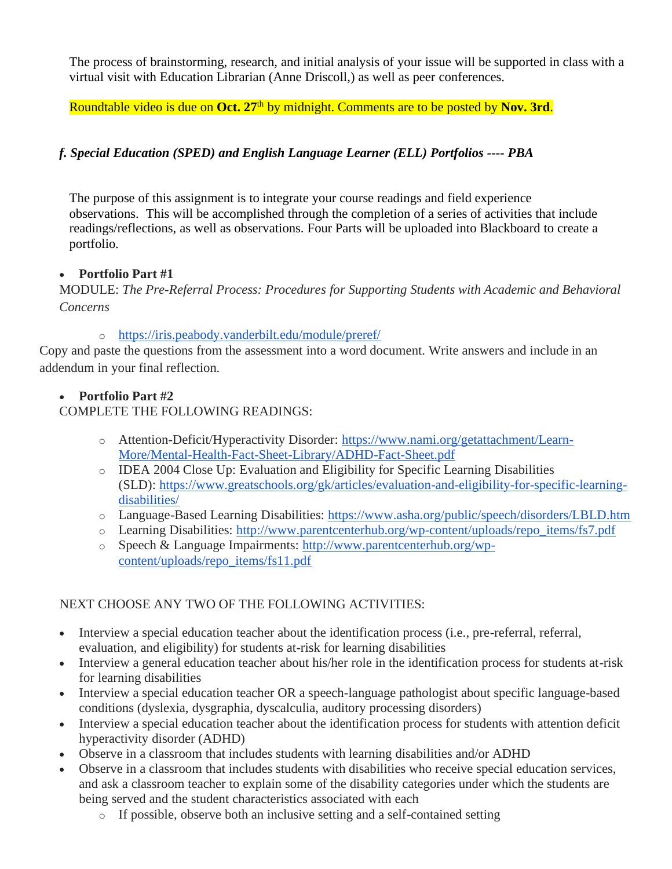The process of brainstorming, research, and initial analysis of your issue will be supported in class with a virtual visit with Education Librarian (Anne Driscoll,) as well as peer conferences.

Roundtable video is due on Oct. 27<sup>th</sup> by midnight. Comments are to be posted by Nov. 3rd.

# *f. Special Education (SPED) and English Language Learner (ELL) Portfolios ---- PBA*

The purpose of this assignment is to integrate your course readings and field experience observations. This will be accomplished through the completion of a series of activities that include readings/reflections, as well as observations. Four Parts will be uploaded into Blackboard to create a portfolio.

# • **Portfolio Part #1**

MODULE: *The Pre-Referral Process: Procedures for Supporting Students with Academic and Behavioral Concerns*

# o <https://iris.peabody.vanderbilt.edu/module/preref/>

Copy and paste the questions from the assessment into a word document. Write answers and include in an addendum in your final reflection.

# • **Portfolio Part #2**

# COMPLETE THE FOLLOWING READINGS:

- o Attention-Deficit/Hyperactivity Disorder: [https://www.nami.org/getattachment/Learn-](https://www.nami.org/getattachment/Learn-More/Mental-Health-Fact-Sheet-Library/ADHD-Fact-Sheet.pdf)[More/Mental-Health-Fact-Sheet-Library/ADHD-Fact-Sheet.pdf](https://www.nami.org/getattachment/Learn-More/Mental-Health-Fact-Sheet-Library/ADHD-Fact-Sheet.pdf)
- o IDEA 2004 Close Up: Evaluation and Eligibility for Specific Learning Disabilities (SLD): [https://www.greatschools.org/gk/articles/evaluation-and-eligibility-for-specific-learning](https://www.greatschools.org/gk/articles/evaluation-and-eligibility-for-specific-learning-disabilities/)[disabilities/](https://www.greatschools.org/gk/articles/evaluation-and-eligibility-for-specific-learning-disabilities/)
- o Language-Based Learning Disabilities: <https://www.asha.org/public/speech/disorders/LBLD.htm>
- o Learning Disabilities: [http://www.parentcenterhub.org/wp-content/uploads/repo\\_items/fs7.pdf](http://www.parentcenterhub.org/wp-content/uploads/repo_items/fs7.pdf)
- o Speech & Language Impairments: [http://www.parentcenterhub.org/wp](http://www.parentcenterhub.org/wp-content/uploads/repo_items/fs11.pdf)[content/uploads/repo\\_items/fs11.pdf](http://www.parentcenterhub.org/wp-content/uploads/repo_items/fs11.pdf)

# NEXT CHOOSE ANY TWO OF THE FOLLOWING ACTIVITIES:

- Interview a special education teacher about the identification process (i.e., pre-referral, referral, evaluation, and eligibility) for students at-risk for learning disabilities
- Interview a general education teacher about his/her role in the identification process for students at-risk for learning disabilities
- Interview a special education teacher OR a speech-language pathologist about specific language-based conditions (dyslexia, dysgraphia, dyscalculia, auditory processing disorders)
- Interview a special education teacher about the identification process for students with attention deficit hyperactivity disorder (ADHD)
- Observe in a classroom that includes students with learning disabilities and/or ADHD
- Observe in a classroom that includes students with disabilities who receive special education services, and ask a classroom teacher to explain some of the disability categories under which the students are being served and the student characteristics associated with each
	- o If possible, observe both an inclusive setting and a self-contained setting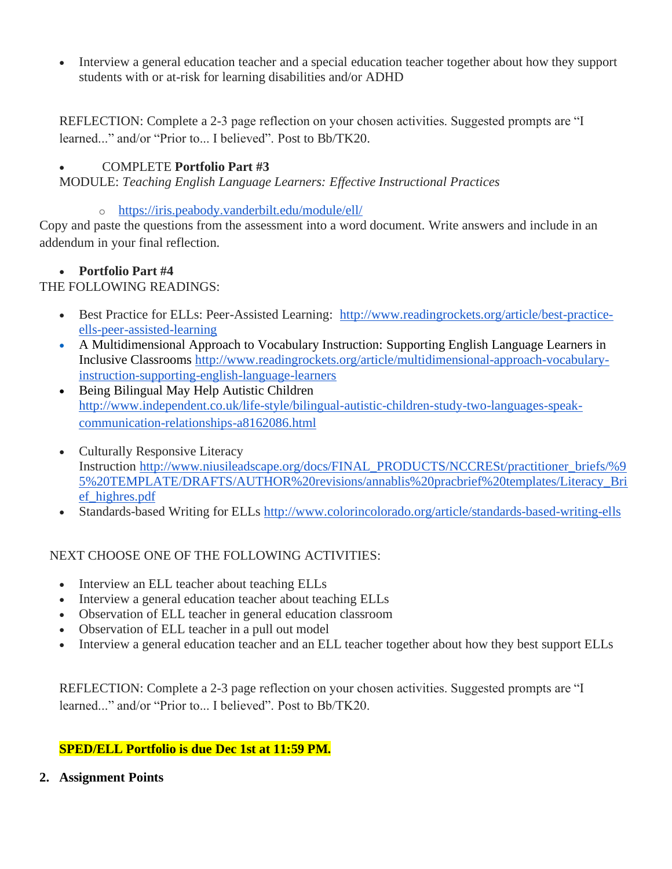• Interview a general education teacher and a special education teacher together about how they support students with or at-risk for learning disabilities and/or ADHD

REFLECTION: Complete a 2-3 page reflection on your chosen activities. Suggested prompts are "I learned..." and/or "Prior to... I believed". Post to Bb/TK20.

# • COMPLETE **Portfolio Part #3**

MODULE: *Teaching English Language Learners: Effective Instructional Practices*

o <https://iris.peabody.vanderbilt.edu/module/ell/>

Copy and paste the questions from the assessment into a word document. Write answers and include in an addendum in your final reflection.

#### • **Portfolio Part #4**

THE FOLLOWING READINGS:

- Best Practice for ELLs: Peer-Assisted Learning: [http://www.readingrockets.org/article/best-practice](http://www.readingrockets.org/article/best-practice-ells-peer-assisted-learning)[ells-peer-assisted-learning](http://www.readingrockets.org/article/best-practice-ells-peer-assisted-learning)
- A Multidimensional Approach to Vocabulary Instruction: Supporting English Language Learners in Inclusive Classrooms [http://www.readingrockets.org/article/multidimensional-approach-vocabulary](http://www.readingrockets.org/article/multidimensional-approach-vocabulary-instruction-supporting-english-language-learners)[instruction-supporting-english-language-learners](http://www.readingrockets.org/article/multidimensional-approach-vocabulary-instruction-supporting-english-language-learners)
- Being Bilingual May Help Autistic Children [http://www.independent.co.uk/life-style/bilingual-autistic-children-study-two-languages-speak](http://www.independent.co.uk/life-style/bilingual-autistic-children-study-two-languages-speak-communication-relationships-a8162086.html)[communication-relationships-a8162086.html](http://www.independent.co.uk/life-style/bilingual-autistic-children-study-two-languages-speak-communication-relationships-a8162086.html)
- Culturally Responsive Literacy Instruction [http://www.niusileadscape.org/docs/FINAL\\_PRODUCTS/NCCRESt/practitioner\\_briefs/%9](http://www.niusileadscape.org/docs/FINAL_PRODUCTS/NCCRESt/practitioner_briefs/%95%20TEMPLATE/DRAFTS/AUTHOR%20revisions/annablis%20pracbrief%20templates/Literacy_Brief_highres.pdf) [5%20TEMPLATE/DRAFTS/AUTHOR%20revisions/annablis%20pracbrief%20templates/Literacy\\_Bri](http://www.niusileadscape.org/docs/FINAL_PRODUCTS/NCCRESt/practitioner_briefs/%95%20TEMPLATE/DRAFTS/AUTHOR%20revisions/annablis%20pracbrief%20templates/Literacy_Brief_highres.pdf) [ef\\_highres.pdf](http://www.niusileadscape.org/docs/FINAL_PRODUCTS/NCCRESt/practitioner_briefs/%95%20TEMPLATE/DRAFTS/AUTHOR%20revisions/annablis%20pracbrief%20templates/Literacy_Brief_highres.pdf)
- Standards-based Writing for ELLs <http://www.colorincolorado.org/article/standards-based-writing-ells>

## NEXT CHOOSE ONE OF THE FOLLOWING ACTIVITIES:

- Interview an ELL teacher about teaching ELLs
- Interview a general education teacher about teaching ELLs
- Observation of ELL teacher in general education classroom
- Observation of ELL teacher in a pull out model
- Interview a general education teacher and an ELL teacher together about how they best support ELLs

REFLECTION: Complete a 2-3 page reflection on your chosen activities. Suggested prompts are "I learned..." and/or "Prior to... I believed". Post to Bb/TK20.

## **SPED/ELL Portfolio is due Dec 1st at 11:59 PM.**

**2. Assignment Points**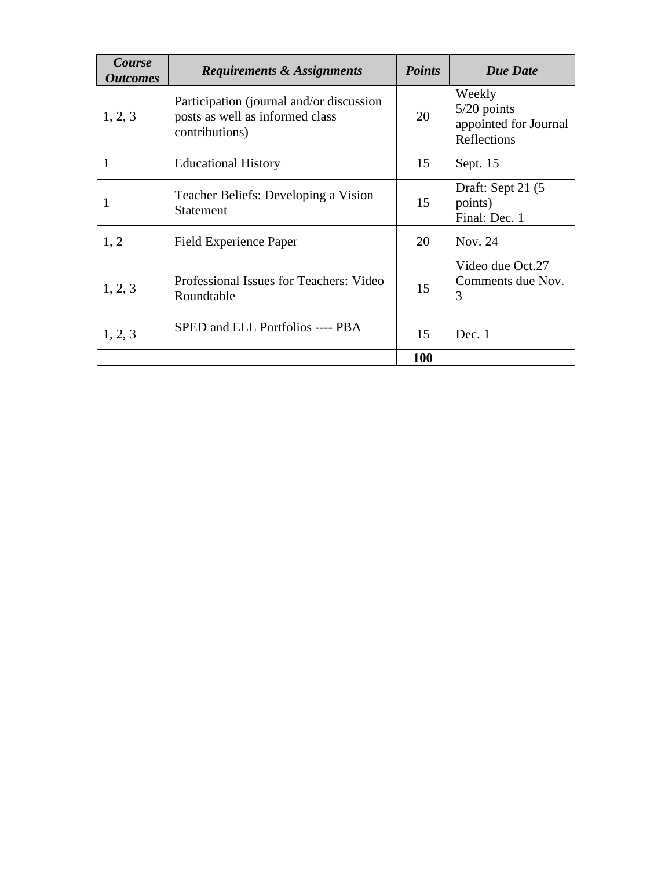| Course<br><i><b>Outcomes</b></i> | <b>Requirements &amp; Assignments</b>                                                         | <b>Points</b> | <b>Due Date</b>                                                 |
|----------------------------------|-----------------------------------------------------------------------------------------------|---------------|-----------------------------------------------------------------|
| 1, 2, 3                          | Participation (journal and/or discussion<br>posts as well as informed class<br>contributions) |               | Weekly<br>$5/20$ points<br>appointed for Journal<br>Reflections |
| 1                                | <b>Educational History</b>                                                                    | 15            | Sept. 15                                                        |
|                                  | Teacher Beliefs: Developing a Vision<br><b>Statement</b>                                      | 15            | Draft: Sept 21 (5)<br>points)<br>Final: Dec. 1                  |
| 1, 2                             | Field Experience Paper                                                                        | 20            | Nov. 24                                                         |
| 1, 2, 3                          | Professional Issues for Teachers: Video<br>Roundtable                                         | 15            | Video due Oct.27<br>Comments due Nov.<br>3                      |
| 1, 2, 3                          | SPED and ELL Portfolios ---- PBA                                                              | 15            | Dec. $1$                                                        |
|                                  |                                                                                               |               |                                                                 |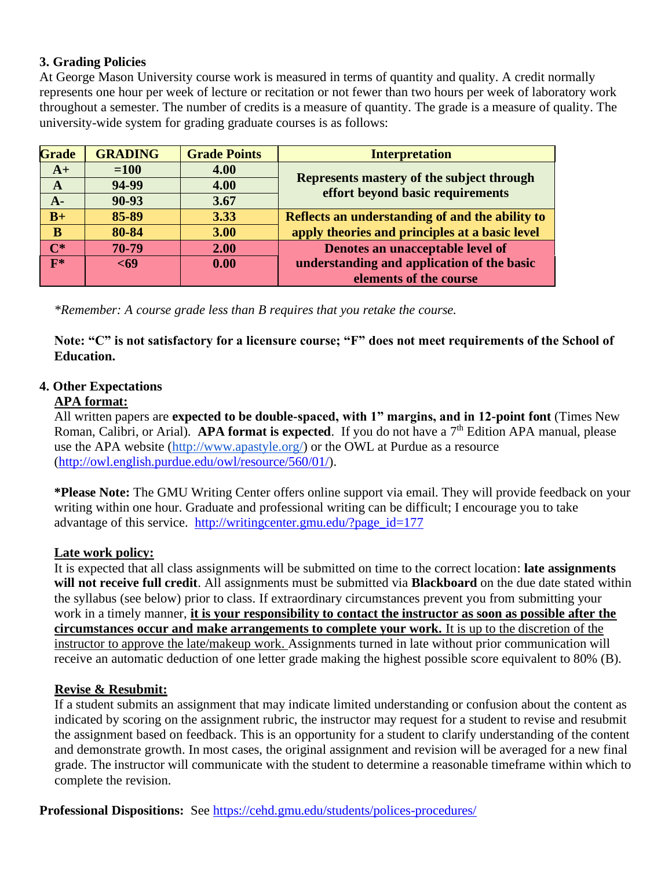## **3. Grading Policies**

At George Mason University course work is measured in terms of quantity and quality. A credit normally represents one hour per week of lecture or recitation or not fewer than two hours per week of laboratory work throughout a semester. The number of credits is a measure of quantity. The grade is a measure of quality. The university-wide system for grading graduate courses is as follows:

| <b>Grade</b>   | <b>GRADING</b> | <b>Grade Points</b> | <b>Interpretation</b>                                                         |
|----------------|----------------|---------------------|-------------------------------------------------------------------------------|
| $A+$           | $=100$         | 4.00                |                                                                               |
| A              | 94-99          | 4.00                | Represents mastery of the subject through<br>effort beyond basic requirements |
| $A-$           | 90-93          | 3.67                |                                                                               |
| $B+$           | 85-89          | 3.33                | Reflects an understanding of and the ability to                               |
| B              | 80-84          | 3.00                | apply theories and principles at a basic level                                |
| $\mathbf{C}^*$ | 70-79          | 2.00                | Denotes an unacceptable level of                                              |
| $F^*$          | $69$           | 0.00                | understanding and application of the basic                                    |
|                |                |                     | elements of the course                                                        |

*\*Remember: A course grade less than B requires that you retake the course.*

**Note: "C" is not satisfactory for a licensure course; "F" does not meet requirements of the School of Education.**

## **4. Other Expectations**

#### **APA format:**

All written papers are **expected to be double-spaced, with 1" margins, and in 12-point font** (Times New Roman, Calibri, or Arial). **APA format is expected**. If you do not have a 7<sup>th</sup> Edition APA manual, please use the APA website [\(http://www.apastyle.org/\)](http://www.apastyle.org/) or the OWL at Purdue as a resource [\(http://owl.english.purdue.edu/owl/resource/560/01/\)](http://owl.english.purdue.edu/owl/resource/560/01/).

**\*Please Note:** The GMU Writing Center offers online support via email. They will provide feedback on your writing within one hour. Graduate and professional writing can be difficult; I encourage you to take advantage of this service. [http://writingcenter.gmu.edu/?page\\_id=177](http://writingcenter.gmu.edu/?page_id=177)

## **Late work policy:**

It is expected that all class assignments will be submitted on time to the correct location: **late assignments will not receive full credit**. All assignments must be submitted via **Blackboard** on the due date stated within the syllabus (see below) prior to class. If extraordinary circumstances prevent you from submitting your work in a timely manner, **it is your responsibility to contact the instructor as soon as possible after the circumstances occur and make arrangements to complete your work.** It is up to the discretion of the instructor to approve the late/makeup work. Assignments turned in late without prior communication will receive an automatic deduction of one letter grade making the highest possible score equivalent to 80% (B).

#### **Revise & Resubmit:**

If a student submits an assignment that may indicate limited understanding or confusion about the content as indicated by scoring on the assignment rubric, the instructor may request for a student to revise and resubmit the assignment based on feedback. This is an opportunity for a student to clarify understanding of the content and demonstrate growth. In most cases, the original assignment and revision will be averaged for a new final grade. The instructor will communicate with the student to determine a reasonable timeframe within which to complete the revision.

**Professional Dispositions:** See<https://cehd.gmu.edu/students/polices-procedures/>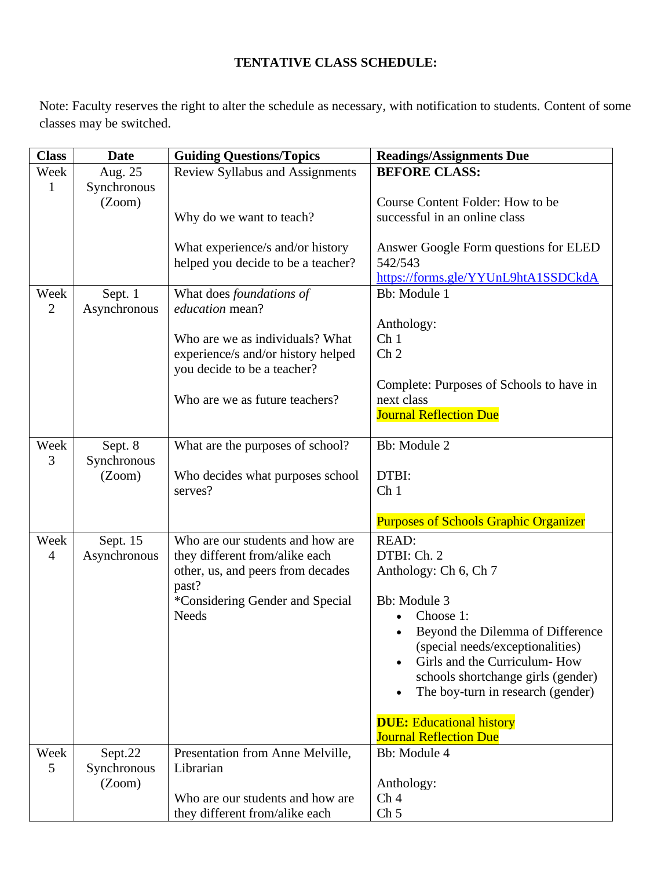# **TENTATIVE CLASS SCHEDULE:**

Note: Faculty reserves the right to alter the schedule as necessary, with notification to students. Content of some classes may be switched.

| <b>Class</b>           | <b>Date</b>             | <b>Guiding Questions/Topics</b>                                        | <b>Readings/Assignments Due</b>                                                                                                                              |  |
|------------------------|-------------------------|------------------------------------------------------------------------|--------------------------------------------------------------------------------------------------------------------------------------------------------------|--|
| Week                   | Aug. 25                 | Review Syllabus and Assignments                                        | <b>BEFORE CLASS:</b>                                                                                                                                         |  |
| 1                      | Synchronous<br>(Zoom)   | Why do we want to teach?                                               | Course Content Folder: How to be<br>successful in an online class<br>Answer Google Form questions for ELED<br>542/543<br>https://forms.gle/YYUnL9htA1SSDCkdA |  |
|                        |                         | What experience/s and/or history<br>helped you decide to be a teacher? |                                                                                                                                                              |  |
| Week<br>$\overline{2}$ | Sept. 1<br>Asynchronous | What does foundations of<br>education mean?                            | Bb: Module 1                                                                                                                                                 |  |
|                        |                         | Who are we as individuals? What<br>experience/s and/or history helped  | Anthology:<br>Ch <sub>1</sub><br>Ch <sub>2</sub>                                                                                                             |  |
|                        |                         | you decide to be a teacher?                                            | Complete: Purposes of Schools to have in                                                                                                                     |  |
|                        |                         | Who are we as future teachers?                                         | next class<br><b>Journal Reflection Due</b>                                                                                                                  |  |
|                        |                         |                                                                        |                                                                                                                                                              |  |
| Week<br>3              | Sept. 8<br>Synchronous  | What are the purposes of school?                                       | Bb: Module 2                                                                                                                                                 |  |
|                        | (Zoom)                  | Who decides what purposes school                                       | DTBI:                                                                                                                                                        |  |
|                        |                         | serves?                                                                | Ch <sub>1</sub>                                                                                                                                              |  |
|                        |                         |                                                                        | <b>Purposes of Schools Graphic Organizer</b>                                                                                                                 |  |
| Week                   | Sept. 15                | Who are our students and how are                                       | <b>READ:</b>                                                                                                                                                 |  |
| 4                      | Asynchronous            | they different from/alike each                                         | DTBI: Ch. 2                                                                                                                                                  |  |
|                        |                         | other, us, and peers from decades<br>past?                             | Anthology: Ch 6, Ch 7                                                                                                                                        |  |
|                        |                         | *Considering Gender and Special                                        | Bb: Module 3                                                                                                                                                 |  |
|                        |                         | <b>Needs</b>                                                           | Choose 1:                                                                                                                                                    |  |
|                        |                         |                                                                        | Beyond the Dilemma of Difference                                                                                                                             |  |
|                        |                         |                                                                        | (special needs/exceptionalities)<br>Girls and the Curriculum-How                                                                                             |  |
|                        |                         |                                                                        | schools shortchange girls (gender)                                                                                                                           |  |
|                        |                         |                                                                        | The boy-turn in research (gender)                                                                                                                            |  |
|                        |                         |                                                                        | <b>DUE: Educational history</b>                                                                                                                              |  |
|                        |                         |                                                                        | <b>Journal Reflection Due</b>                                                                                                                                |  |
| Week                   | Sept.22                 | Presentation from Anne Melville,                                       | Bb: Module 4                                                                                                                                                 |  |
| 5                      | Synchronous             | Librarian                                                              |                                                                                                                                                              |  |
|                        | (Zoom)                  | Who are our students and how are                                       | Anthology:<br>Ch <sub>4</sub>                                                                                                                                |  |
|                        |                         | they different from/alike each                                         | Ch <sub>5</sub>                                                                                                                                              |  |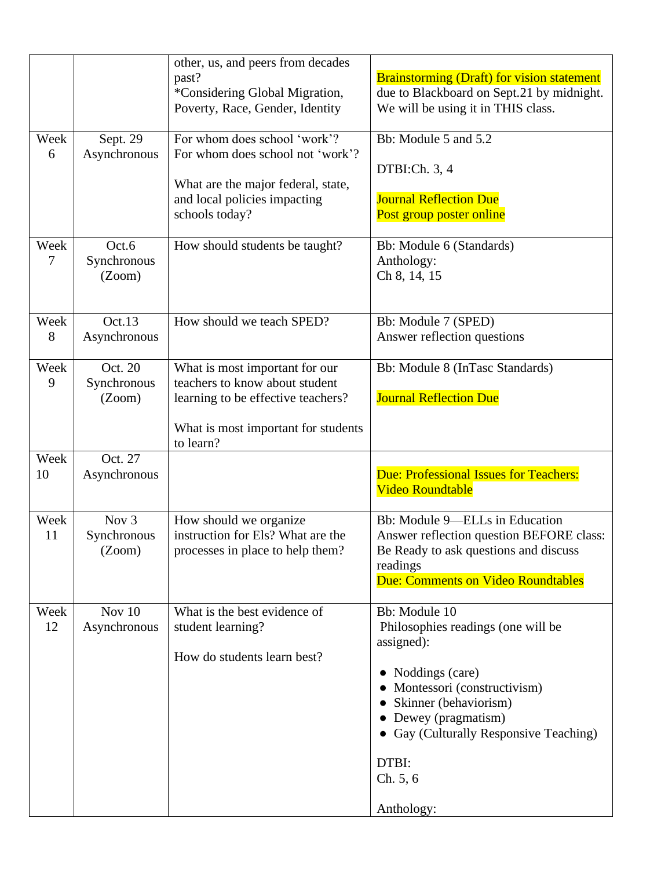|            |                                           | other, us, and peers from decades<br>past?<br>*Considering Global Migration,<br>Poverty, Race, Gender, Identity                                            | <b>Brainstorming (Draft) for vision statement</b><br>due to Blackboard on Sept.21 by midnight.<br>We will be using it in THIS class.                                                                                                            |
|------------|-------------------------------------------|------------------------------------------------------------------------------------------------------------------------------------------------------------|-------------------------------------------------------------------------------------------------------------------------------------------------------------------------------------------------------------------------------------------------|
| Week<br>6  | Sept. 29<br>Asynchronous                  | For whom does school 'work'?<br>For whom does school not 'work'?<br>What are the major federal, state,<br>and local policies impacting<br>schools today?   | Bb: Module 5 and 5.2<br>DTBI:Ch. 3, 4<br><b>Journal Reflection Due</b><br>Post group poster online                                                                                                                                              |
| Week<br>7  | Oct.6<br>Synchronous<br>(Zoom)            | How should students be taught?                                                                                                                             | Bb: Module 6 (Standards)<br>Anthology:<br>Ch 8, 14, 15                                                                                                                                                                                          |
| Week<br>8  | Oct.13<br>Asynchronous                    | How should we teach SPED?                                                                                                                                  | Bb: Module 7 (SPED)<br>Answer reflection questions                                                                                                                                                                                              |
| Week<br>9  | Oct. 20<br>Synchronous<br>(Zoom)          | What is most important for our<br>teachers to know about student<br>learning to be effective teachers?<br>What is most important for students<br>to learn? | Bb: Module 8 (InTasc Standards)<br><b>Journal Reflection Due</b>                                                                                                                                                                                |
| Week<br>10 | Oct. 27<br>Asynchronous                   |                                                                                                                                                            | Due: Professional Issues for Teachers:<br><b>Video Roundtable</b>                                                                                                                                                                               |
| Week<br>11 | Nov <sub>3</sub><br>Synchronous<br>(Zoom) | How should we organize<br>instruction for Els? What are the<br>processes in place to help them?                                                            | Bb: Module 9-ELLs in Education<br>Answer reflection question BEFORE class:<br>Be Ready to ask questions and discuss<br>readings<br>Due: Comments on Video Roundtables                                                                           |
| Week<br>12 | Nov $10$<br>Asynchronous                  | What is the best evidence of<br>student learning?<br>How do students learn best?                                                                           | Bb: Module 10<br>Philosophies readings (one will be<br>assigned):<br>Noddings (care)<br>Montessori (constructivism)<br>Skinner (behaviorism)<br>Dewey (pragmatism)<br>• Gay (Culturally Responsive Teaching)<br>DTBI:<br>Ch. 5, 6<br>Anthology: |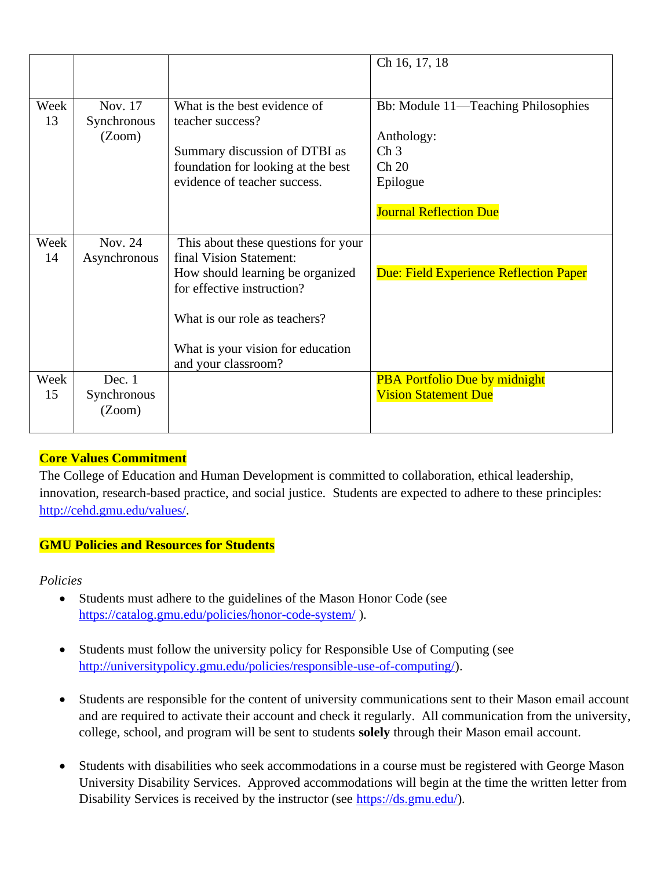|            |                                   |                                                                                                                                                                                                                               | Ch 16, 17, 18                                                                                                                                |
|------------|-----------------------------------|-------------------------------------------------------------------------------------------------------------------------------------------------------------------------------------------------------------------------------|----------------------------------------------------------------------------------------------------------------------------------------------|
| Week<br>13 | Nov. 17<br>Synchronous<br>(Zoom)  | What is the best evidence of<br>teacher success?<br>Summary discussion of DTBI as<br>foundation for looking at the best<br>evidence of teacher success.                                                                       | Bb: Module 11—Teaching Philosophies<br>Anthology:<br>$\mathop{\mathrm{Ch}}\nolimits 3$<br>Ch 20<br>Epilogue<br><b>Journal Reflection Due</b> |
| Week<br>14 | Nov. 24<br>Asynchronous           | This about these questions for your<br>final Vision Statement:<br>How should learning be organized<br>for effective instruction?<br>What is our role as teachers?<br>What is your vision for education<br>and your classroom? | Due: Field Experience Reflection Paper                                                                                                       |
| Week<br>15 | Dec. $1$<br>Synchronous<br>(Zoom) |                                                                                                                                                                                                                               | <b>PBA Portfolio Due by midnight</b><br><b>Vision Statement Due</b>                                                                          |

# **Core Values Commitment**

The College of Education and Human Development is committed to collaboration, ethical leadership, innovation, research-based practice, and social justice. Students are expected to adhere to these principles: [http://cehd.gmu.edu/values/.](http://cehd.gmu.edu/values/)

# **GMU Policies and Resources for Students**

*Policies*

- Students must adhere to the guidelines of the Mason Honor Code (see <https://catalog.gmu.edu/policies/honor-code-system/> ).
- Students must follow the university policy for Responsible Use of Computing (see [http://universitypolicy.gmu.edu/policies/responsible-use-of-computing/\)](http://universitypolicy.gmu.edu/policies/responsible-use-of-computing/).
- Students are responsible for the content of university communications sent to their Mason email account and are required to activate their account and check it regularly. All communication from the university, college, school, and program will be sent to students **solely** through their Mason email account.
- Students with disabilities who seek accommodations in a course must be registered with George Mason University Disability Services. Approved accommodations will begin at the time the written letter from Disability Services is received by the instructor (see [https://ds.gmu.edu/\)](https://ds.gmu.edu/).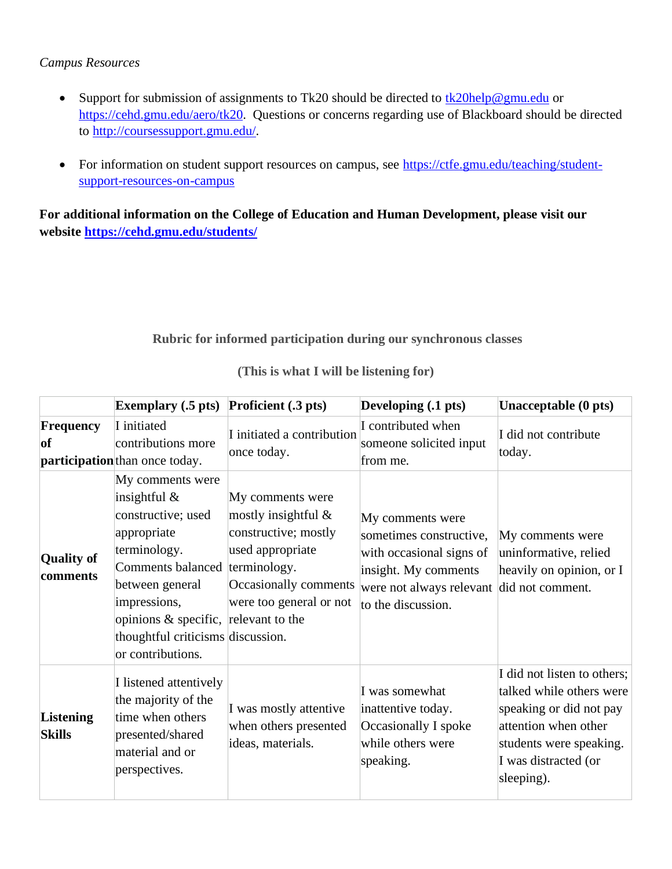### *Campus Resources*

- Support for submission of assignments to Tk20 should be directed to  $\frac{tk20\text{help@gmu.edu}}{tk20\text{help@gmu.edu}}$ [https://cehd.gmu.edu/aero/tk20.](https://cehd.gmu.edu/aero/tk20) Questions or concerns regarding use of Blackboard should be directed to [http://coursessupport.gmu.edu/.](http://coursessupport.gmu.edu/)
- For information on student support resources on campus, see [https://ctfe.gmu.edu/teaching/student](https://ctfe.gmu.edu/teaching/student-support-resources-on-campus)[support-resources-on-campus](https://ctfe.gmu.edu/teaching/student-support-resources-on-campus)

**For additional information on the College of Education and Human Development, please visit our website<https://cehd.gmu.edu/students/>**

# **Rubric for informed participation during our synchronous classes**

|                                   | Exemplary $(.5 \text{ pts})$ Proficient $(.3 \text{ pts})$                                                                                                                                                                                                      |                                                                                                                                            | Developing (.1 pts)                                                                                                                                                | Unacceptable (0 pts)                                                                                                                                                        |
|-----------------------------------|-----------------------------------------------------------------------------------------------------------------------------------------------------------------------------------------------------------------------------------------------------------------|--------------------------------------------------------------------------------------------------------------------------------------------|--------------------------------------------------------------------------------------------------------------------------------------------------------------------|-----------------------------------------------------------------------------------------------------------------------------------------------------------------------------|
| Frequency<br><b>of</b>            | I initiated<br>contributions more<br>participation than once today.                                                                                                                                                                                             | I initiated a contribution<br>once today.                                                                                                  | I contributed when<br>someone solicited input<br>from me.                                                                                                          | I did not contribute<br>today.                                                                                                                                              |
| <b>Quality of</b><br>comments     | My comments were<br>insightful $\&$<br>constructive; used<br>appropriate<br>terminology.<br>Comments balanced terminology.<br>between general<br>impressions,<br>opinions & specific, relevant to the<br>thoughtful criticisms discussion.<br>or contributions. | My comments were<br>mostly insightful $\&$<br>constructive; mostly<br>used appropriate<br>Occasionally comments<br>were too general or not | My comments were<br>sometimes constructive,<br>with occasional signs of<br>insight. My comments<br>were not always relevant did not comment.<br>to the discussion. | My comments were<br>uninformative, relied<br>heavily on opinion, or I                                                                                                       |
| <b>Listening</b><br><b>Skills</b> | I listened attentively<br>the majority of the<br>time when others<br>presented/shared<br>material and or<br>perspectives.                                                                                                                                       | I was mostly attentive<br>when others presented<br>ideas, materials.                                                                       | I was somewhat<br>inattentive today.<br>Occasionally I spoke<br>while others were<br>speaking.                                                                     | I did not listen to others;<br>talked while others were<br>speaking or did not pay<br>attention when other<br>students were speaking.<br>I was distracted (or<br>sleeping). |

**(This is what I will be listening for)**